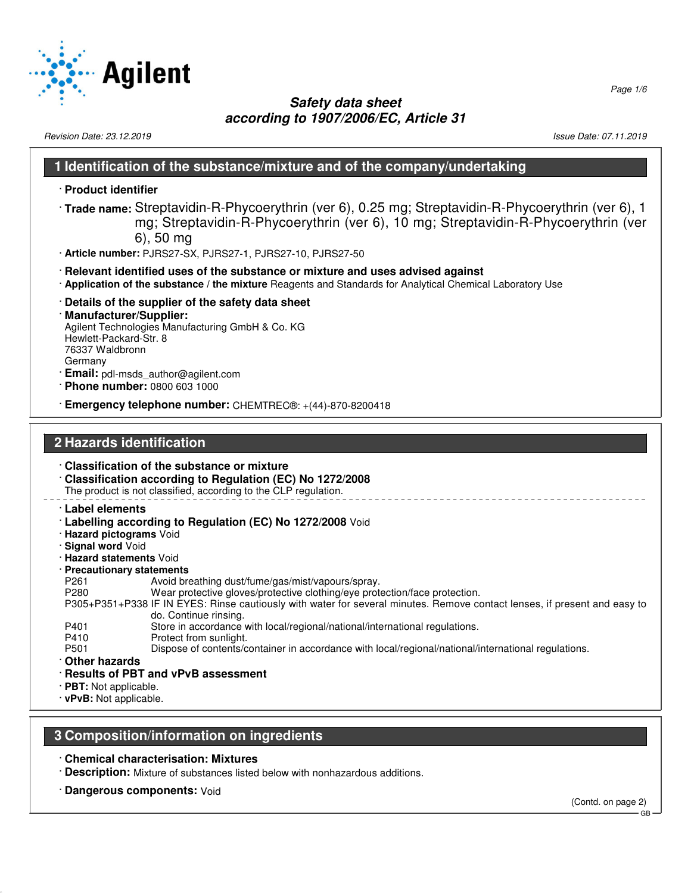

Revision Date: 23.12.2019 **Issue Date: 07.11.2019** Issue Date: 07.11.2019

### **1 Identification of the substance/mixture and of the company/undertaking**

- · **Product identifier**
- · **Trade name:** Streptavidin-R-Phycoerythrin (ver 6), 0.25 mg; Streptavidin-R-Phycoerythrin (ver 6), 1 mg; Streptavidin-R-Phycoerythrin (ver 6), 10 mg; Streptavidin-R-Phycoerythrin (ver 6), 50 mg
- · **Article number:** PJRS27-SX, PJRS27-1, PJRS27-10, PJRS27-50
- · **Relevant identified uses of the substance or mixture and uses advised against**
- · **Application of the substance / the mixture** Reagents and Standards for Analytical Chemical Laboratory Use
- · **Details of the supplier of the safety data sheet**
- · **Manufacturer/Supplier:** Agilent Technologies Manufacturing GmbH & Co. KG Hewlett-Packard-Str. 8 76337 Waldbronn Germany · **Email:** pdl-msds\_author@agilent.com
- · **Phone number:** 0800 603 1000
- · **Emergency telephone number:** CHEMTREC®: +(44)-870-8200418

### **2 Hazards identification**

- · **Classification of the substance or mixture** · **Classification according to Regulation (EC) No 1272/2008** The product is not classified, according to the CLP regulation. · **Label elements** · **Labelling according to Regulation (EC) No 1272/2008** Void · **Hazard pictograms** Void · **Signal word** Void · **Hazard statements** Void · **Precautionary statements** P261 Avoid breathing dust/fume/gas/mist/vapours/spray. P280 Wear protective gloves/protective clothing/eye protection/face protection. P305+P351+P338 IF IN EYES: Rinse cautiously with water for several minutes. Remove contact lenses, if present and easy to do. Continue rinsing. P401 Store in accordance with local/regional/national/international regulations.<br>P410 Protect from sunlight. Protect from sunlight. P501 Dispose of contents/container in accordance with local/regional/national/international regulations.
	- · **Other hazards**
	- · **Results of PBT and vPvB assessment**
- · **PBT:** Not applicable.
- · **vPvB:** Not applicable.

### **3 Composition/information on ingredients**

- · **Chemical characterisation: Mixtures**
- · **Description:** Mixture of substances listed below with nonhazardous additions.
- · **Dangerous components:** Void

(Contd. on page 2) GB

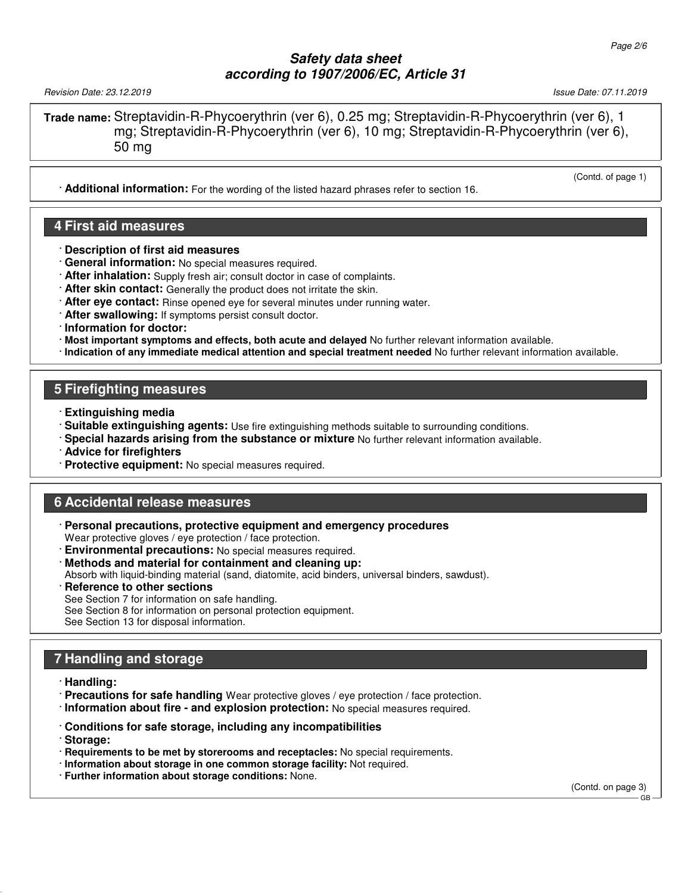Revision Date: 23.12.2019 Issue Date: 07.11.2019

**Trade name:** Streptavidin-R-Phycoerythrin (ver 6), 0.25 mg; Streptavidin-R-Phycoerythrin (ver 6), 1 mg; Streptavidin-R-Phycoerythrin (ver 6), 10 mg; Streptavidin-R-Phycoerythrin (ver 6), 50 mg

· **Additional information:** For the wording of the listed hazard phrases refer to section 16.

### **4 First aid measures**

- · **Description of first aid measures**
- · **General information:** No special measures required.
- · **After inhalation:** Supply fresh air; consult doctor in case of complaints.
- · **After skin contact:** Generally the product does not irritate the skin.
- · **After eye contact:** Rinse opened eye for several minutes under running water.
- · **After swallowing:** If symptoms persist consult doctor.
- · **Information for doctor:**
- · **Most important symptoms and effects, both acute and delayed** No further relevant information available.
- · **Indication of any immediate medical attention and special treatment needed** No further relevant information available.

### **5 Firefighting measures**

- · **Extinguishing media**
- · **Suitable extinguishing agents:** Use fire extinguishing methods suitable to surrounding conditions.
- · **Special hazards arising from the substance or mixture** No further relevant information available.
- · **Advice for firefighters**
- · **Protective equipment:** No special measures required.

### **6 Accidental release measures**

- · **Personal precautions, protective equipment and emergency procedures** Wear protective gloves / eye protection / face protection.
- **Environmental precautions:** No special measures required.
- · **Methods and material for containment and cleaning up:**
- Absorb with liquid-binding material (sand, diatomite, acid binders, universal binders, sawdust).
- **Reference to other sections**
- See Section 7 for information on safe handling.
- See Section 8 for information on personal protection equipment.
- See Section 13 for disposal information.

# **7 Handling and storage**

- · **Handling:**
- · **Precautions for safe handling** Wear protective gloves / eye protection / face protection.
- · **Information about fire and explosion protection:** No special measures required.
- · **Conditions for safe storage, including any incompatibilities**
- · **Storage:**
- · **Requirements to be met by storerooms and receptacles:** No special requirements.
- · **Information about storage in one common storage facility:** Not required.
- · **Further information about storage conditions:** None.

(Contd. on page 3)

GB

(Contd. of page 1)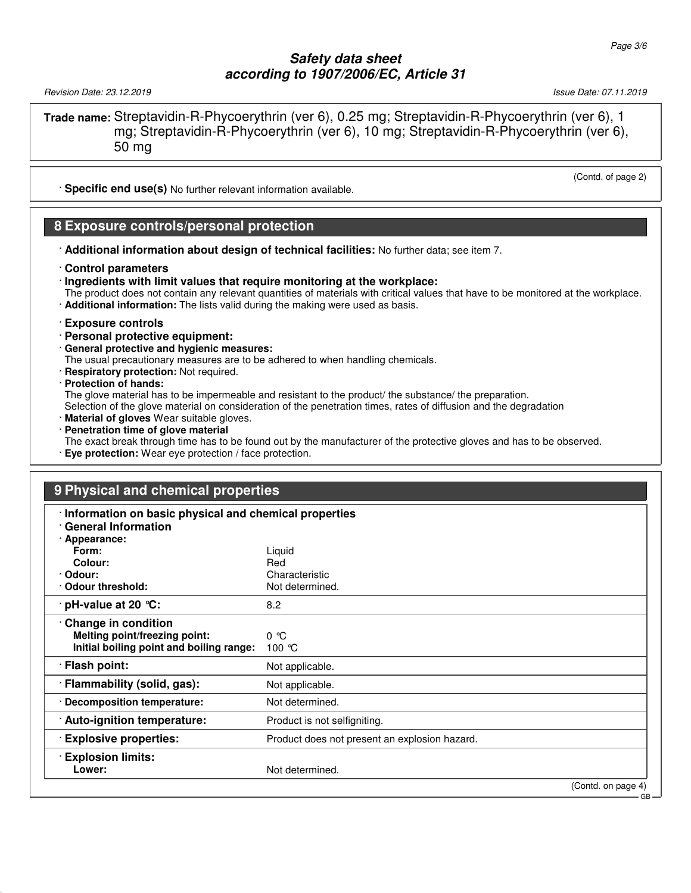Revision Date: 23.12.2019 Issue Date: 07.11.2019

**Trade name:** Streptavidin-R-Phycoerythrin (ver 6), 0.25 mg; Streptavidin-R-Phycoerythrin (ver 6), 1 mg; Streptavidin-R-Phycoerythrin (ver 6), 10 mg; Streptavidin-R-Phycoerythrin (ver 6), 50 mg

· **Specific end use(s)** No further relevant information available.

### **8 Exposure controls/personal protection**

- · **Additional information about design of technical facilities:** No further data; see item 7.
- · **Control parameters**
- · **Ingredients with limit values that require monitoring at the workplace:**
- The product does not contain any relevant quantities of materials with critical values that have to be monitored at the workplace.
- · **Additional information:** The lists valid during the making were used as basis.

#### · **Exposure controls**

- · **Personal protective equipment:**
- · **General protective and hygienic measures:**

The usual precautionary measures are to be adhered to when handling chemicals.

· **Respiratory protection:** Not required.

#### · **Protection of hands:**

The glove material has to be impermeable and resistant to the product/ the substance/ the preparation.

Selection of the glove material on consideration of the penetration times, rates of diffusion and the degradation

- · **Material of gloves** Wear suitable gloves.
- · **Penetration time of glove material**
- The exact break through time has to be found out by the manufacturer of the protective gloves and has to be observed.
- · **Eye protection:** Wear eye protection / face protection.

### **9 Physical and chemical properties**

| · Information on basic physical and chemical properties<br><b>General Information</b> |                                               |                    |
|---------------------------------------------------------------------------------------|-----------------------------------------------|--------------------|
| · Appearance:                                                                         |                                               |                    |
| Form:                                                                                 | Liquid                                        |                    |
| Colour:                                                                               | Red                                           |                    |
| · Odour:                                                                              | Characteristic                                |                    |
| Odour threshold:                                                                      | Not determined.                               |                    |
| $\cdot$ pH-value at 20 $\degree$ C:                                                   | 8.2                                           |                    |
| Change in condition                                                                   |                                               |                    |
| Melting point/freezing point:                                                         | $0^{\circ}$ $C$                               |                    |
| Initial boiling point and boiling range:                                              | 100 $\degree$ C                               |                    |
| · Flash point:                                                                        | Not applicable.                               |                    |
| · Flammability (solid, gas):                                                          | Not applicable.                               |                    |
| · Decomposition temperature:                                                          | Not determined.                               |                    |
| · Auto-ignition temperature:                                                          | Product is not selfigniting.                  |                    |
| <b>Explosive properties:</b>                                                          | Product does not present an explosion hazard. |                    |
| <b>Explosion limits:</b>                                                              |                                               |                    |
| Lower:                                                                                | Not determined.                               |                    |
|                                                                                       |                                               | (Contd. on page 4) |
|                                                                                       |                                               | GB                 |

(Contd. of page 2)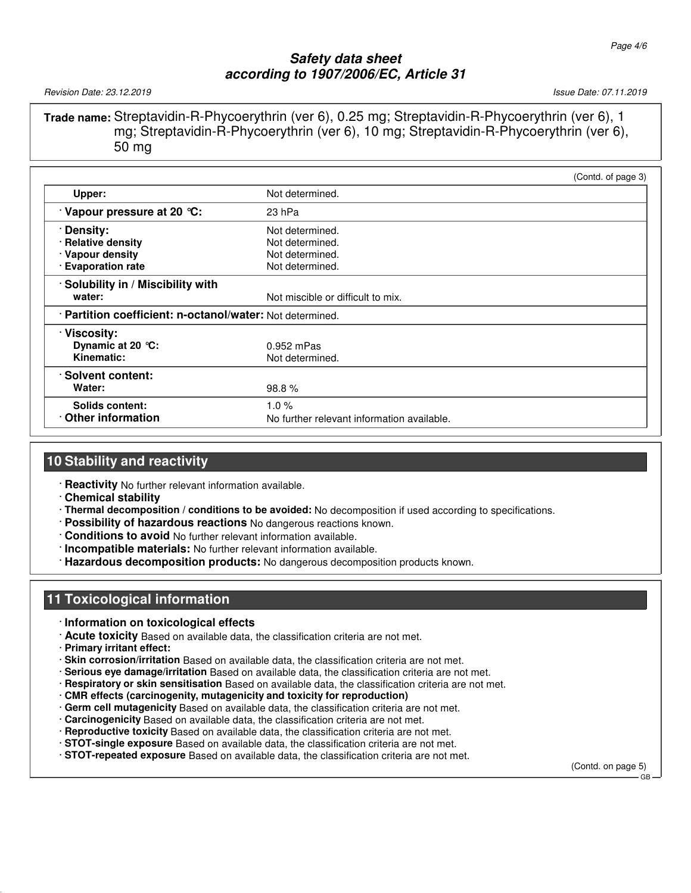Revision Date: 23.12.2019 Issue Date: 07.11.2019

**Trade name:** Streptavidin-R-Phycoerythrin (ver 6), 0.25 mg; Streptavidin-R-Phycoerythrin (ver 6), 1 mg; Streptavidin-R-Phycoerythrin (ver 6), 10 mg; Streptavidin-R-Phycoerythrin (ver 6), 50 mg

|                                                           | (Contd. of page 3)                         |  |  |
|-----------------------------------------------------------|--------------------------------------------|--|--|
| Upper:                                                    | Not determined.                            |  |  |
| Vapour pressure at 20 °C:                                 | 23 hPa                                     |  |  |
| Density:                                                  | Not determined.                            |  |  |
| · Relative density                                        | Not determined.                            |  |  |
| · Vapour density                                          | Not determined.                            |  |  |
| · Evaporation rate                                        | Not determined.                            |  |  |
| · Solubility in / Miscibility with                        |                                            |  |  |
| water:                                                    | Not miscible or difficult to mix.          |  |  |
| · Partition coefficient: n-octanol/water: Not determined. |                                            |  |  |
| · Viscosity:                                              |                                            |  |  |
| Dynamic at 20 $°C$ :                                      | $0.952$ mPas                               |  |  |
| Kinematic:                                                | Not determined.                            |  |  |
| · Solvent content:                                        |                                            |  |  |
| Water:                                                    | 98.8%                                      |  |  |
| <b>Solids content:</b>                                    | 1.0%                                       |  |  |
| Other information                                         | No further relevant information available. |  |  |

# **10 Stability and reactivity**

· **Reactivity** No further relevant information available.

- · **Chemical stability**
- · **Thermal decomposition / conditions to be avoided:** No decomposition if used according to specifications.
- · **Possibility of hazardous reactions** No dangerous reactions known.
- · **Conditions to avoid** No further relevant information available.
- · **Incompatible materials:** No further relevant information available.
- · **Hazardous decomposition products:** No dangerous decomposition products known.

# **11 Toxicological information**

- · **Information on toxicological effects**
- · **Acute toxicity** Based on available data, the classification criteria are not met.
- · **Primary irritant effect:**
- · **Skin corrosion/irritation** Based on available data, the classification criteria are not met.
- · **Serious eye damage/irritation** Based on available data, the classification criteria are not met.
- · **Respiratory or skin sensitisation** Based on available data, the classification criteria are not met.
- · **CMR effects (carcinogenity, mutagenicity and toxicity for reproduction)**
- · **Germ cell mutagenicity** Based on available data, the classification criteria are not met.
- · **Carcinogenicity** Based on available data, the classification criteria are not met.
- · **Reproductive toxicity** Based on available data, the classification criteria are not met.
- · **STOT-single exposure** Based on available data, the classification criteria are not met.
- · **STOT-repeated exposure** Based on available data, the classification criteria are not met.

(Contd. on page 5)

GB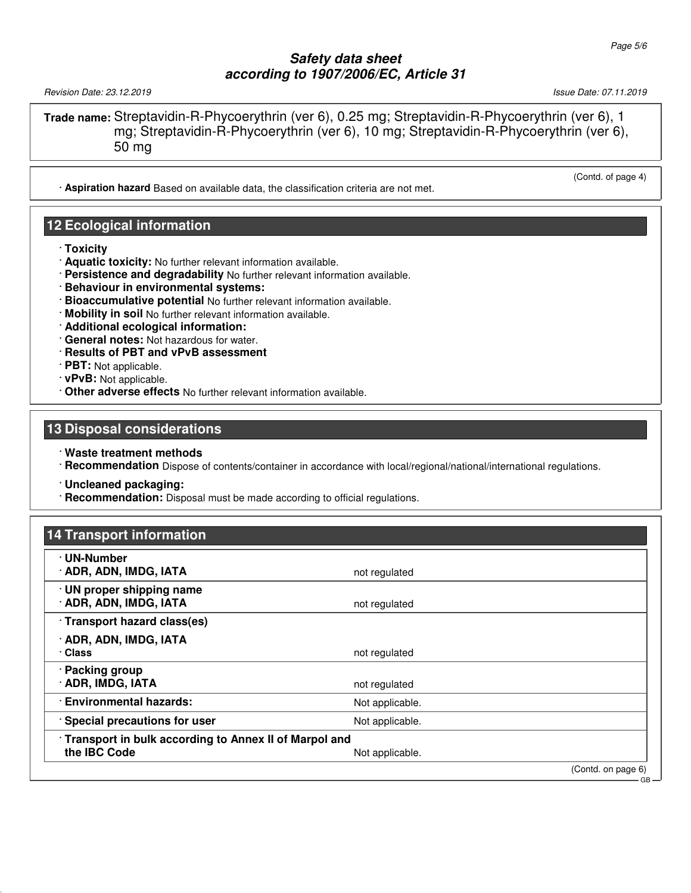Revision Date: 23.12.2019 Issue Date: 07.11.2019

**Trade name:** Streptavidin-R-Phycoerythrin (ver 6), 0.25 mg; Streptavidin-R-Phycoerythrin (ver 6), 1 mg; Streptavidin-R-Phycoerythrin (ver 6), 10 mg; Streptavidin-R-Phycoerythrin (ver 6), 50 mg

· **Aspiration hazard** Based on available data, the classification criteria are not met.

### **12 Ecological information**

- · **Toxicity**
- · **Aquatic toxicity:** No further relevant information available.
- · **Persistence and degradability** No further relevant information available.
- · **Behaviour in environmental systems:**
- · **Bioaccumulative potential** No further relevant information available.
- · **Mobility in soil** No further relevant information available.
- · **Additional ecological information:**
- · **General notes:** Not hazardous for water.
- · **Results of PBT and vPvB assessment**
- · **PBT:** Not applicable.
- · **vPvB:** Not applicable.
- · **Other adverse effects** No further relevant information available.

### **13 Disposal considerations**

· **Waste treatment methods**

· **Recommendation** Dispose of contents/container in accordance with local/regional/national/international regulations.

· **Uncleaned packaging:**

· **Recommendation:** Disposal must be made according to official regulations.

| <b>14 Transport information</b>                                       |                 |                    |
|-----------------------------------------------------------------------|-----------------|--------------------|
| · UN-Number<br>· ADR, ADN, IMDG, IATA                                 | not regulated   |                    |
| · UN proper shipping name<br>· ADR, ADN, IMDG, IATA                   | not regulated   |                    |
| · Transport hazard class(es)                                          |                 |                    |
| · ADR, ADN, IMDG, IATA<br>· Class                                     | not regulated   |                    |
| · Packing group<br>· ADR, IMDG, IATA                                  | not regulated   |                    |
| · Environmental hazards:                                              | Not applicable. |                    |
| Special precautions for user                                          | Not applicable. |                    |
| Transport in bulk according to Annex II of Marpol and<br>the IBC Code | Not applicable. |                    |
|                                                                       |                 | (Contd. on page 6) |

(Contd. of page 4)

GB